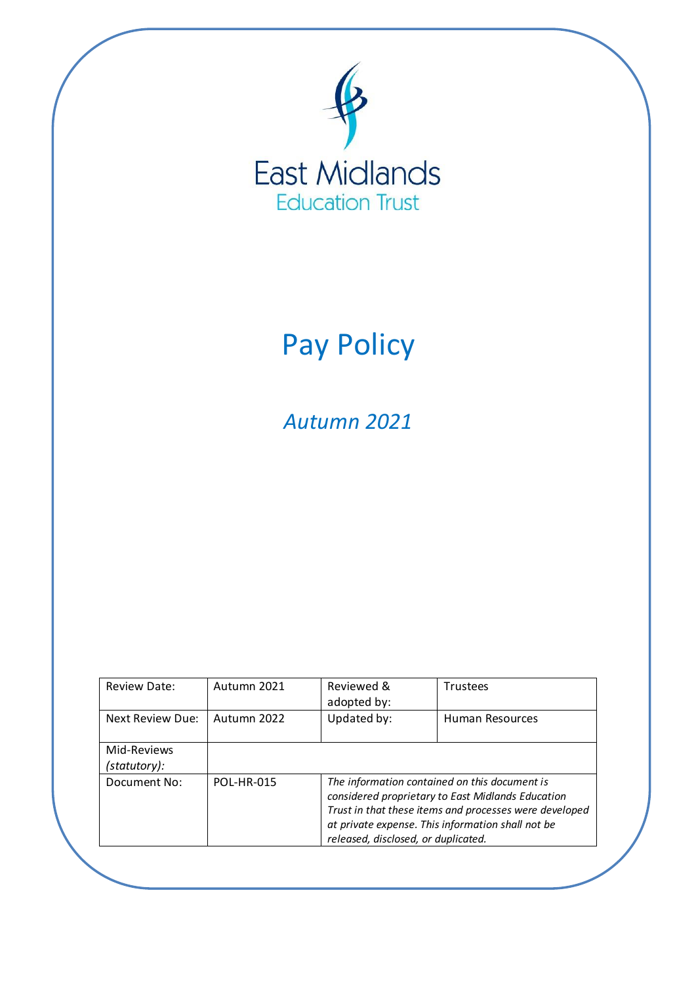

# Pay Policy

*Autumn 2021*

| <b>Review Date:</b> | Autumn 2021       | Reviewed &<br>adopted by:                                                                                                                                                                                                                                | <b>Trustees</b>        |  |
|---------------------|-------------------|----------------------------------------------------------------------------------------------------------------------------------------------------------------------------------------------------------------------------------------------------------|------------------------|--|
| Next Review Due:    | Autumn 2022       | Updated by:                                                                                                                                                                                                                                              | <b>Human Resources</b> |  |
| Mid-Reviews         |                   |                                                                                                                                                                                                                                                          |                        |  |
| (statutory):        |                   |                                                                                                                                                                                                                                                          |                        |  |
| Document No:        | <b>POL-HR-015</b> | The information contained on this document is<br>considered proprietary to East Midlands Education<br>Trust in that these items and processes were developed<br>at private expense. This information shall not be<br>released, disclosed, or duplicated. |                        |  |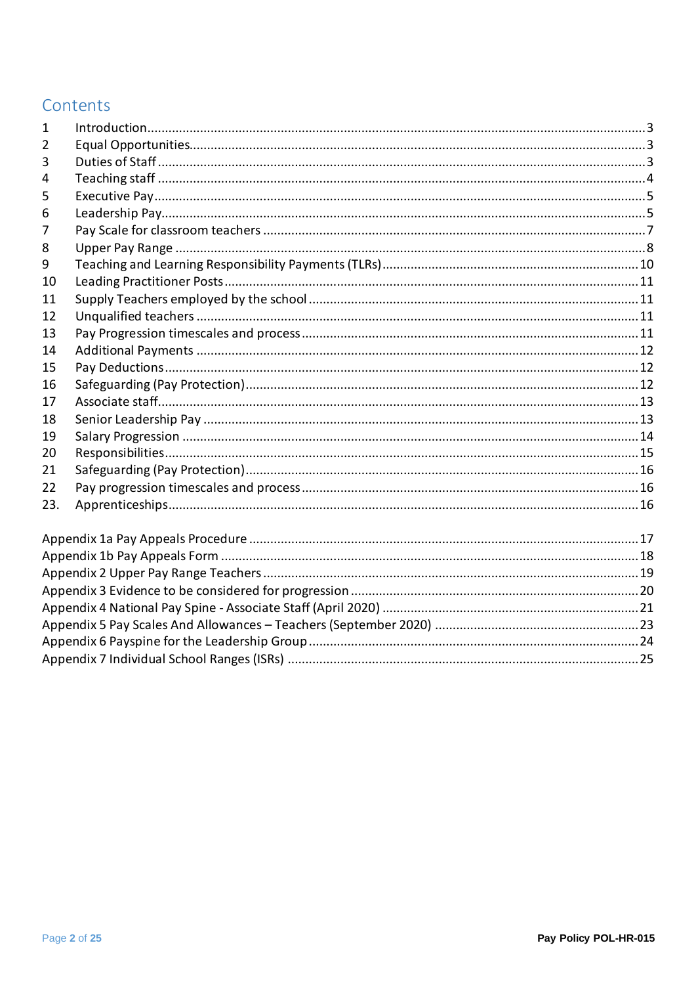# Contents

| 1   |  |
|-----|--|
| 2   |  |
| 3   |  |
| 4   |  |
| 5   |  |
| 6   |  |
| 7   |  |
| 8   |  |
| 9   |  |
| 10  |  |
| 11  |  |
| 12  |  |
| 13  |  |
| 14  |  |
| 15  |  |
| 16  |  |
| 17  |  |
| 18  |  |
| 19  |  |
| 20  |  |
| 21  |  |
| 22  |  |
| 23. |  |
|     |  |
|     |  |
|     |  |
|     |  |
|     |  |
|     |  |
|     |  |
|     |  |
|     |  |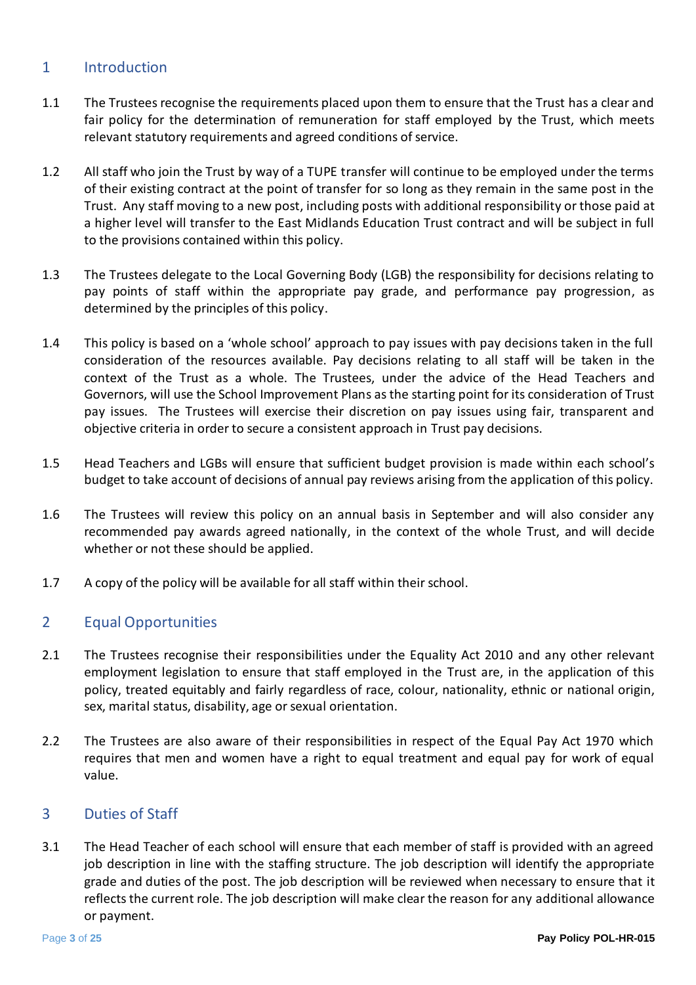## <span id="page-2-0"></span>1 Introduction

- 1.1 The Trustees recognise the requirements placed upon them to ensure that the Trust has a clear and fair policy for the determination of remuneration for staff employed by the Trust, which meets relevant statutory requirements and agreed conditions of service.
- 1.2 All staff who join the Trust by way of a TUPE transfer will continue to be employed under the terms of their existing contract at the point of transfer for so long as they remain in the same post in the Trust. Any staff moving to a new post, including posts with additional responsibility or those paid at a higher level will transfer to the East Midlands Education Trust contract and will be subject in full to the provisions contained within this policy.
- 1.3 The Trustees delegate to the Local Governing Body (LGB) the responsibility for decisions relating to pay points of staff within the appropriate pay grade, and performance pay progression, as determined by the principles of this policy.
- 1.4 This policy is based on a 'whole school' approach to pay issues with pay decisions taken in the full consideration of the resources available. Pay decisions relating to all staff will be taken in the context of the Trust as a whole. The Trustees, under the advice of the Head Teachers and Governors, will use the School Improvement Plans as the starting point for its consideration of Trust pay issues. The Trustees will exercise their discretion on pay issues using fair, transparent and objective criteria in order to secure a consistent approach in Trust pay decisions.
- 1.5 Head Teachers and LGBs will ensure that sufficient budget provision is made within each school's budget to take account of decisions of annual pay reviews arising from the application of this policy.
- 1.6 The Trustees will review this policy on an annual basis in September and will also consider any recommended pay awards agreed nationally, in the context of the whole Trust, and will decide whether or not these should be applied.
- 1.7 A copy of the policy will be available for all staff within their school.

## <span id="page-2-1"></span>2 Equal Opportunities

- 2.1 The Trustees recognise their responsibilities under the Equality Act 2010 and any other relevant employment legislation to ensure that staff employed in the Trust are, in the application of this policy, treated equitably and fairly regardless of race, colour, nationality, ethnic or national origin, sex, marital status, disability, age or sexual orientation.
- 2.2 The Trustees are also aware of their responsibilities in respect of the Equal Pay Act 1970 which requires that men and women have a right to equal treatment and equal pay for work of equal value.

#### <span id="page-2-2"></span>3 Duties of Staff

3.1 The Head Teacher of each school will ensure that each member of staff is provided with an agreed job description in line with the staffing structure. The job description will identify the appropriate grade and duties of the post. The job description will be reviewed when necessary to ensure that it reflects the current role. The job description will make clear the reason for any additional allowance or payment.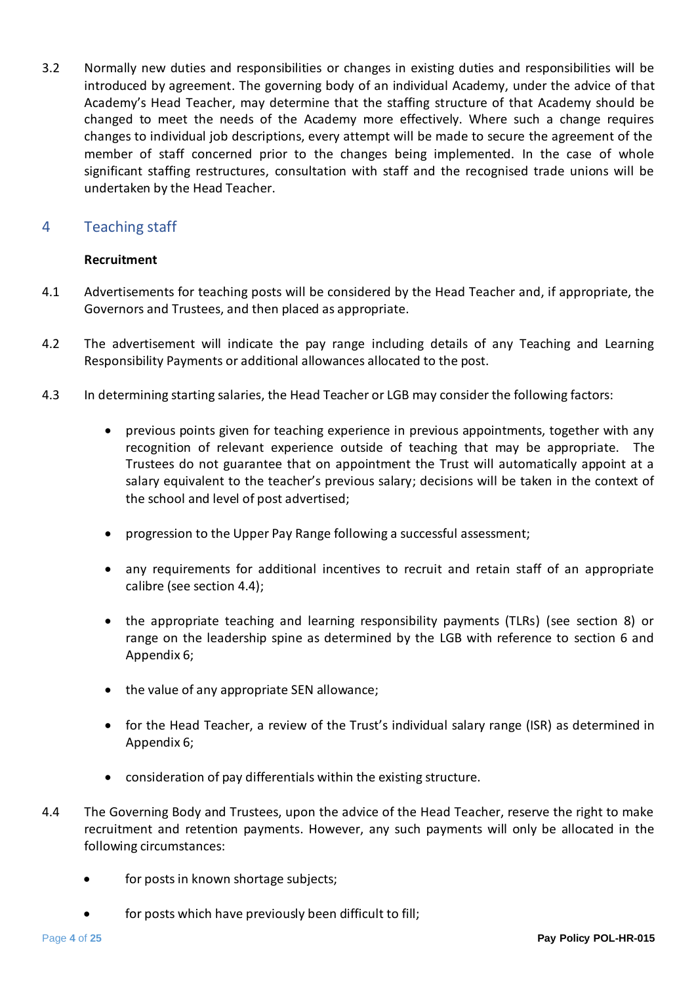3.2 Normally new duties and responsibilities or changes in existing duties and responsibilities will be introduced by agreement. The governing body of an individual Academy, under the advice of that Academy's Head Teacher, may determine that the staffing structure of that Academy should be changed to meet the needs of the Academy more effectively. Where such a change requires changes to individual job descriptions, every attempt will be made to secure the agreement of the member of staff concerned prior to the changes being implemented. In the case of whole significant staffing restructures, consultation with staff and the recognised trade unions will be undertaken by the Head Teacher.

## <span id="page-3-0"></span>4 Teaching staff

#### **Recruitment**

- 4.1 Advertisements for teaching posts will be considered by the Head Teacher and, if appropriate, the Governors and Trustees, and then placed as appropriate.
- 4.2 The advertisement will indicate the pay range including details of any Teaching and Learning Responsibility Payments or additional allowances allocated to the post.
- 4.3 In determining starting salaries, the Head Teacher or LGB may consider the following factors:
	- previous points given for teaching experience in previous appointments, together with any recognition of relevant experience outside of teaching that may be appropriate. The Trustees do not guarantee that on appointment the Trust will automatically appoint at a salary equivalent to the teacher's previous salary; decisions will be taken in the context of the school and level of post advertised;
	- progression to the Upper Pay Range following a successful assessment;
	- any requirements for additional incentives to recruit and retain staff of an appropriate calibre (see section 4.4);
	- the appropriate teaching and learning responsibility payments (TLRs) (see section 8) or range on the leadership spine as determined by the LGB with reference to section 6 and Appendix 6;
	- the value of any appropriate SEN allowance;
	- for the Head Teacher, a review of the Trust's individual salary range (ISR) as determined in Appendix 6;
	- consideration of pay differentials within the existing structure.
- 4.4 The Governing Body and Trustees, upon the advice of the Head Teacher, reserve the right to make recruitment and retention payments. However, any such payments will only be allocated in the following circumstances:
	- for posts in known shortage subjects;
	- for posts which have previously been difficult to fill;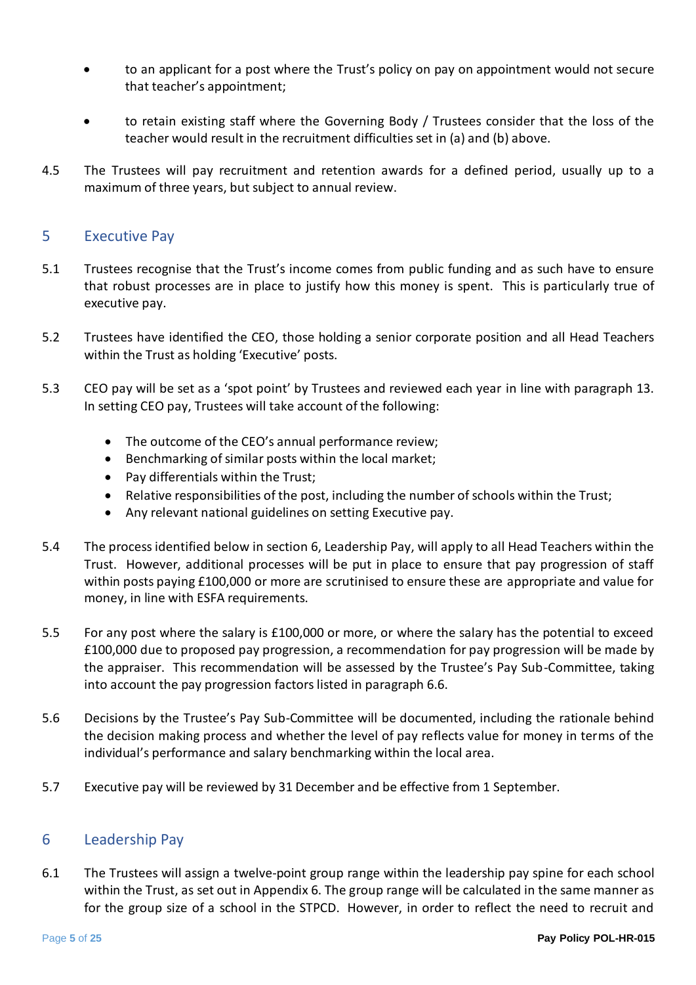- to an applicant for a post where the Trust's policy on pay on appointment would not secure that teacher's appointment;
- to retain existing staff where the Governing Body / Trustees consider that the loss of the teacher would result in the recruitment difficulties set in (a) and (b) above.
- 4.5 The Trustees will pay recruitment and retention awards for a defined period, usually up to a maximum of three years, but subject to annual review.

#### <span id="page-4-0"></span>5 Executive Pay

- 5.1 Trustees recognise that the Trust's income comes from public funding and as such have to ensure that robust processes are in place to justify how this money is spent. This is particularly true of executive pay.
- 5.2 Trustees have identified the CEO, those holding a senior corporate position and all Head Teachers within the Trust as holding 'Executive' posts.
- 5.3 CEO pay will be set as a 'spot point' by Trustees and reviewed each year in line with paragraph 13. In setting CEO pay, Trustees will take account of the following:
	- The outcome of the CEO's annual performance review;
	- Benchmarking of similar posts within the local market;
	- Pay differentials within the Trust;
	- Relative responsibilities of the post, including the number of schools within the Trust;
	- Any relevant national guidelines on setting Executive pay.
- 5.4 The process identified below in section 6, Leadership Pay, will apply to all Head Teachers within the Trust. However, additional processes will be put in place to ensure that pay progression of staff within posts paying £100,000 or more are scrutinised to ensure these are appropriate and value for money, in line with ESFA requirements.
- 5.5 For any post where the salary is £100,000 or more, or where the salary has the potential to exceed £100,000 due to proposed pay progression, a recommendation for pay progression will be made by the appraiser. This recommendation will be assessed by the Trustee's Pay Sub-Committee, taking into account the pay progression factors listed in paragraph 6.6.
- 5.6 Decisions by the Trustee's Pay Sub-Committee will be documented, including the rationale behind the decision making process and whether the level of pay reflects value for money in terms of the individual's performance and salary benchmarking within the local area.
- 5.7 Executive pay will be reviewed by 31 December and be effective from 1 September.

#### <span id="page-4-1"></span>6 Leadership Pay

6.1 The Trustees will assign a twelve-point group range within the leadership pay spine for each school within the Trust, as set out in Appendix 6. The group range will be calculated in the same manner as for the group size of a school in the STPCD. However, in order to reflect the need to recruit and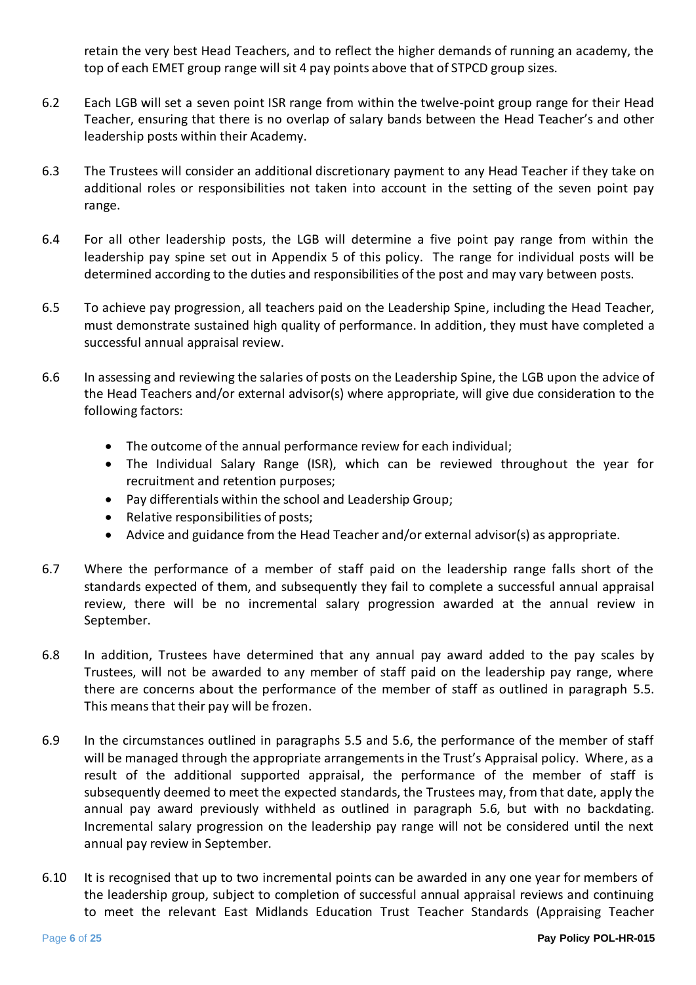retain the very best Head Teachers, and to reflect the higher demands of running an academy, the top of each EMET group range will sit 4 pay points above that of STPCD group sizes.

- 6.2 Each LGB will set a seven point ISR range from within the twelve-point group range for their Head Teacher, ensuring that there is no overlap of salary bands between the Head Teacher's and other leadership posts within their Academy.
- 6.3 The Trustees will consider an additional discretionary payment to any Head Teacher if they take on additional roles or responsibilities not taken into account in the setting of the seven point pay range.
- 6.4 For all other leadership posts, the LGB will determine a five point pay range from within the leadership pay spine set out in Appendix 5 of this policy. The range for individual posts will be determined according to the duties and responsibilities of the post and may vary between posts.
- 6.5 To achieve pay progression, all teachers paid on the Leadership Spine, including the Head Teacher, must demonstrate sustained high quality of performance. In addition, they must have completed a successful annual appraisal review.
- 6.6 In assessing and reviewing the salaries of posts on the Leadership Spine, the LGB upon the advice of the Head Teachers and/or external advisor(s) where appropriate, will give due consideration to the following factors:
	- The outcome of the annual performance review for each individual;
	- The Individual Salary Range (ISR), which can be reviewed throughout the year for recruitment and retention purposes;
	- Pay differentials within the school and Leadership Group;
	- Relative responsibilities of posts;
	- Advice and guidance from the Head Teacher and/or external advisor(s) as appropriate.
- 6.7 Where the performance of a member of staff paid on the leadership range falls short of the standards expected of them, and subsequently they fail to complete a successful annual appraisal review, there will be no incremental salary progression awarded at the annual review in September.
- 6.8 In addition, Trustees have determined that any annual pay award added to the pay scales by Trustees, will not be awarded to any member of staff paid on the leadership pay range, where there are concerns about the performance of the member of staff as outlined in paragraph 5.5. This means that their pay will be frozen.
- 6.9 In the circumstances outlined in paragraphs 5.5 and 5.6, the performance of the member of staff will be managed through the appropriate arrangements in the Trust's Appraisal policy. Where, as a result of the additional supported appraisal, the performance of the member of staff is subsequently deemed to meet the expected standards, the Trustees may, from that date, apply the annual pay award previously withheld as outlined in paragraph 5.6, but with no backdating. Incremental salary progression on the leadership pay range will not be considered until the next annual pay review in September.
- 6.10 It is recognised that up to two incremental points can be awarded in any one year for members of the leadership group, subject to completion of successful annual appraisal reviews and continuing to meet the relevant East Midlands Education Trust Teacher Standards (Appraising Teacher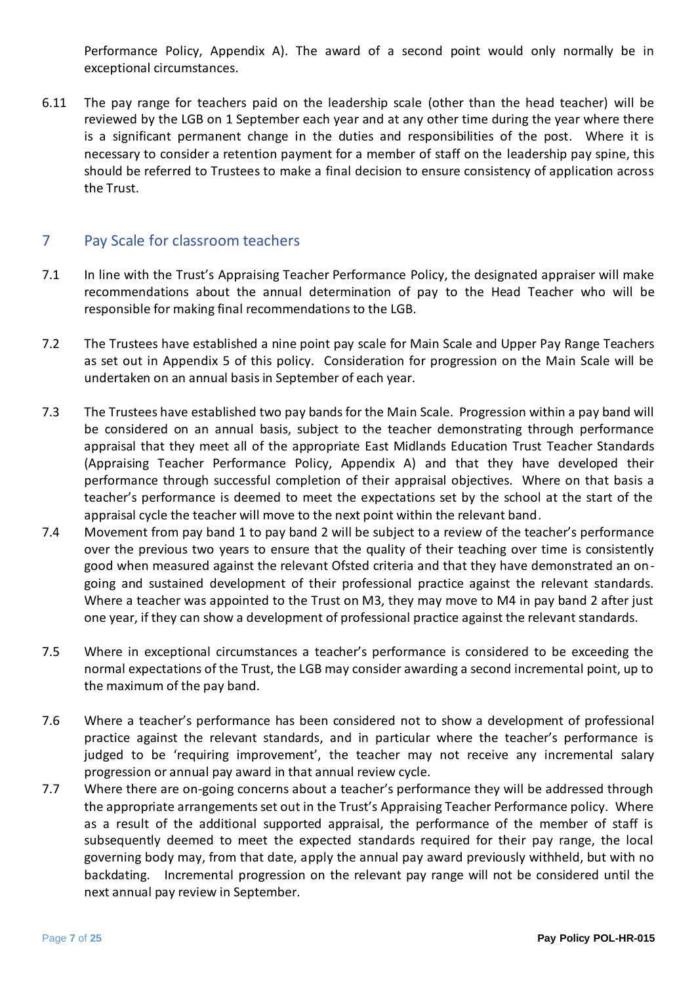Performance Policy, Appendix A). The award of a second point would only normally be in exceptional circumstances.

6.11 The pay range for teachers paid on the leadership scale (other than the head teacher) will be reviewed by the LGB on 1 September each year and at any other time during the year where there is a significant permanent change in the duties and responsibilities of the post. Where it is necessary to consider a retention payment for a member of staff on the leadership pay spine, this should be referred to Trustees to make a final decision to ensure consistency of application across the Trust.

## <span id="page-6-0"></span>7 Pay Scale for classroom teachers

- 7.1 In line with the Trust's Appraising Teacher Performance Policy, the designated appraiser will make recommendations about the annual determination of pay to the Head Teacher who will be responsible for making final recommendations to the LGB.
- 7.2 The Trustees have established a nine point pay scale for Main Scale and Upper Pay Range Teachers as set out in Appendix 5 of this policy. Consideration for progression on the Main Scale will be undertaken on an annual basis in September of each year.
- 7.3 The Trustees have established two pay bands for the Main Scale. Progression within a pay band will be considered on an annual basis, subject to the teacher demonstrating through performance appraisal that they meet all of the appropriate East Midlands Education Trust Teacher Standards (Appraising Teacher Performance Policy, Appendix A) and that they have developed their performance through successful completion of their appraisal objectives. Where on that basis a teacher's performance is deemed to meet the expectations set by the school at the start of the appraisal cycle the teacher will move to the next point within the relevant band.
- 7.4 Movement from pay band 1 to pay band 2 will be subject to a review of the teacher's performance over the previous two years to ensure that the quality of their teaching over time is consistently good when measured against the relevant Ofsted criteria and that they have demonstrated an ongoing and sustained development of their professional practice against the relevant standards. Where a teacher was appointed to the Trust on M3, they may move to M4 in pay band 2 after just one year, if they can show a development of professional practice against the relevant standards.
- 7.5 Where in exceptional circumstances a teacher's performance is considered to be exceeding the normal expectations of the Trust, the LGB may consider awarding a second incremental point, up to the maximum of the pay band.
- 7.6 Where a teacher's performance has been considered not to show a development of professional practice against the relevant standards, and in particular where the teacher's performance is judged to be 'requiring improvement', the teacher may not receive any incremental salary progression or annual pay award in that annual review cycle.
- 7.7 Where there are on-going concerns about a teacher's performance they will be addressed through the appropriate arrangements set out in the Trust's Appraising Teacher Performance policy. Where as a result of the additional supported appraisal, the performance of the member of staff is subsequently deemed to meet the expected standards required for their pay range, the local governing body may, from that date, apply the annual pay award previously withheld, but with no backdating. Incremental progression on the relevant pay range will not be considered until the next annual pay review in September.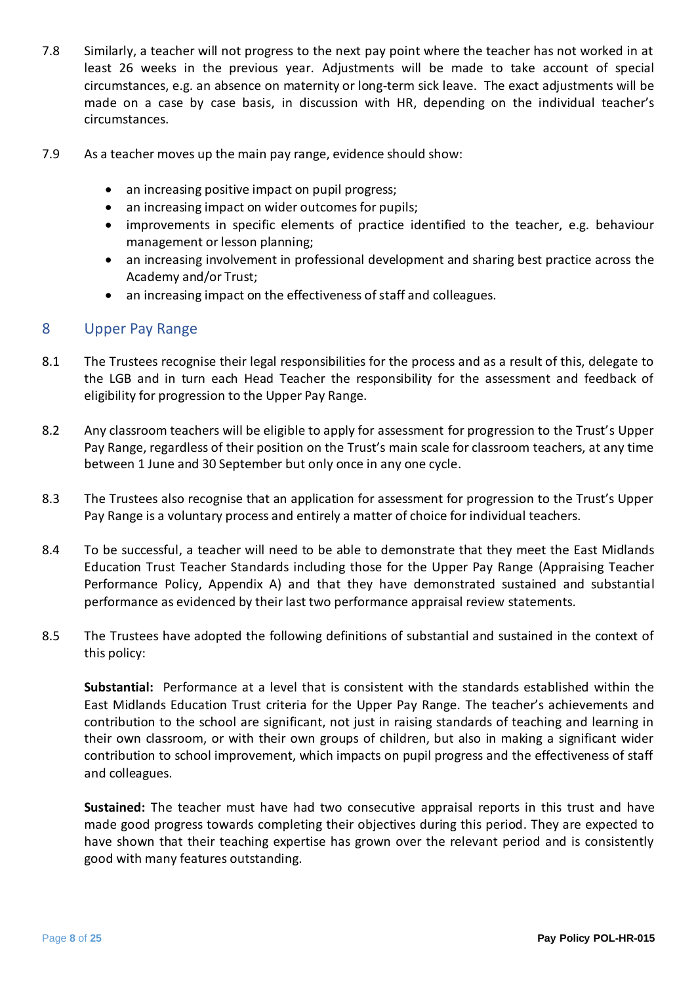- 7.8 Similarly, a teacher will not progress to the next pay point where the teacher has not worked in at least 26 weeks in the previous year. Adjustments will be made to take account of special circumstances, e.g. an absence on maternity or long-term sick leave. The exact adjustments will be made on a case by case basis, in discussion with HR, depending on the individual teacher's circumstances.
- 7.9 As a teacher moves up the main pay range, evidence should show:
	- an increasing positive impact on pupil progress;
	- an increasing impact on wider outcomes for pupils;
	- improvements in specific elements of practice identified to the teacher, e.g. behaviour management or lesson planning;
	- an increasing involvement in professional development and sharing best practice across the Academy and/or Trust;
	- an increasing impact on the effectiveness of staff and colleagues.

#### <span id="page-7-0"></span>8 Upper Pay Range

- 8.1 The Trustees recognise their legal responsibilities for the process and as a result of this, delegate to the LGB and in turn each Head Teacher the responsibility for the assessment and feedback of eligibility for progression to the Upper Pay Range.
- 8.2 Any classroom teachers will be eligible to apply for assessment for progression to the Trust's Upper Pay Range, regardless of their position on the Trust's main scale for classroom teachers, at any time between 1 June and 30 September but only once in any one cycle.
- 8.3 The Trustees also recognise that an application for assessment for progression to the Trust's Upper Pay Range is a voluntary process and entirely a matter of choice for individual teachers.
- 8.4 To be successful, a teacher will need to be able to demonstrate that they meet the East Midlands Education Trust Teacher Standards including those for the Upper Pay Range (Appraising Teacher Performance Policy, Appendix A) and that they have demonstrated sustained and substantial performance as evidenced by their last two performance appraisal review statements.
- 8.5 The Trustees have adopted the following definitions of substantial and sustained in the context of this policy:

**Substantial:** Performance at a level that is consistent with the standards established within the East Midlands Education Trust criteria for the Upper Pay Range. The teacher's achievements and contribution to the school are significant, not just in raising standards of teaching and learning in their own classroom, or with their own groups of children, but also in making a significant wider contribution to school improvement, which impacts on pupil progress and the effectiveness of staff and colleagues.

**Sustained:** The teacher must have had two consecutive appraisal reports in this trust and have made good progress towards completing their objectives during this period. They are expected to have shown that their teaching expertise has grown over the relevant period and is consistently good with many features outstanding.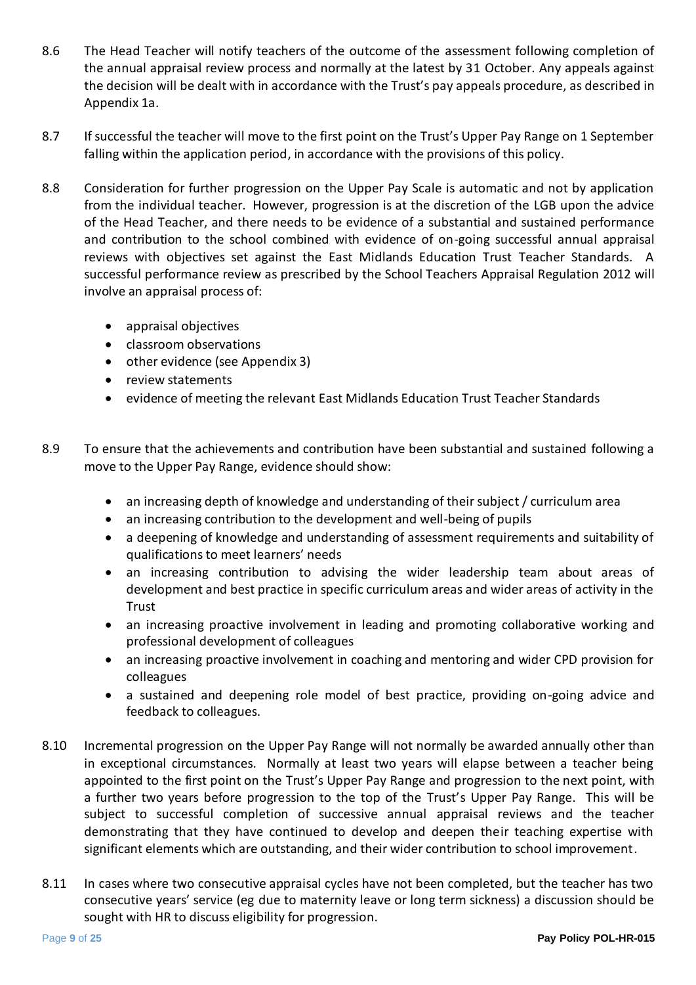- 8.6 The Head Teacher will notify teachers of the outcome of the assessment following completion of the annual appraisal review process and normally at the latest by 31 October. Any appeals against the decision will be dealt with in accordance with the Trust's pay appeals procedure, as described in Appendix 1a.
- 8.7 If successful the teacher will move to the first point on the Trust's Upper Pay Range on 1 September falling within the application period, in accordance with the provisions of this policy.
- 8.8 Consideration for further progression on the Upper Pay Scale is automatic and not by application from the individual teacher. However, progression is at the discretion of the LGB upon the advice of the Head Teacher, and there needs to be evidence of a substantial and sustained performance and contribution to the school combined with evidence of on-going successful annual appraisal reviews with objectives set against the East Midlands Education Trust Teacher Standards. A successful performance review as prescribed by the School Teachers Appraisal Regulation 2012 will involve an appraisal process of:
	- appraisal objectives
	- classroom observations
	- other evidence (see Appendix 3)
	- review statements
	- evidence of meeting the relevant East Midlands Education Trust Teacher Standards
- 8.9 To ensure that the achievements and contribution have been substantial and sustained following a move to the Upper Pay Range, evidence should show:
	- an increasing depth of knowledge and understanding of their subject / curriculum area
	- an increasing contribution to the development and well-being of pupils
	- a deepening of knowledge and understanding of assessment requirements and suitability of qualifications to meet learners' needs
	- an increasing contribution to advising the wider leadership team about areas of development and best practice in specific curriculum areas and wider areas of activity in the Trust
	- an increasing proactive involvement in leading and promoting collaborative working and professional development of colleagues
	- an increasing proactive involvement in coaching and mentoring and wider CPD provision for colleagues
	- a sustained and deepening role model of best practice, providing on-going advice and feedback to colleagues.
- 8.10 Incremental progression on the Upper Pay Range will not normally be awarded annually other than in exceptional circumstances. Normally at least two years will elapse between a teacher being appointed to the first point on the Trust's Upper Pay Range and progression to the next point, with a further two years before progression to the top of the Trust's Upper Pay Range. This will be subject to successful completion of successive annual appraisal reviews and the teacher demonstrating that they have continued to develop and deepen their teaching expertise with significant elements which are outstanding, and their wider contribution to school improvement.
- 8.11 In cases where two consecutive appraisal cycles have not been completed, but the teacher has two consecutive years' service (eg due to maternity leave or long term sickness) a discussion should be sought with HR to discuss eligibility for progression.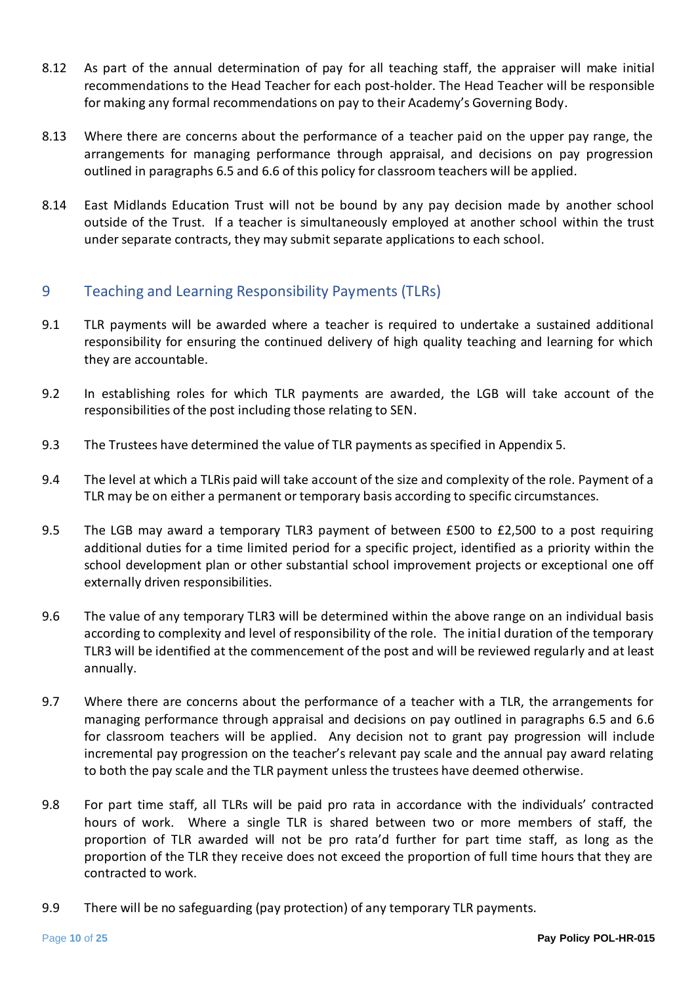- 8.12 As part of the annual determination of pay for all teaching staff, the appraiser will make initial recommendations to the Head Teacher for each post-holder. The Head Teacher will be responsible for making any formal recommendations on pay to their Academy's Governing Body.
- 8.13 Where there are concerns about the performance of a teacher paid on the upper pay range, the arrangements for managing performance through appraisal, and decisions on pay progression outlined in paragraphs 6.5 and 6.6 of this policy for classroom teachers will be applied.
- 8.14 East Midlands Education Trust will not be bound by any pay decision made by another school outside of the Trust. If a teacher is simultaneously employed at another school within the trust under separate contracts, they may submit separate applications to each school.

## <span id="page-9-0"></span>9 Teaching and Learning Responsibility Payments (TLRs)

- 9.1 TLR payments will be awarded where a teacher is required to undertake a sustained additional responsibility for ensuring the continued delivery of high quality teaching and learning for which they are accountable.
- 9.2 In establishing roles for which TLR payments are awarded, the LGB will take account of the responsibilities of the post including those relating to SEN.
- 9.3 The Trustees have determined the value of TLR payments as specified in Appendix 5.
- 9.4 The level at which a TLRis paid will take account of the size and complexity of the role. Payment of a TLR may be on either a permanent or temporary basis according to specific circumstances.
- 9.5 The LGB may award a temporary TLR3 payment of between £500 to £2,500 to a post requiring additional duties for a time limited period for a specific project, identified as a priority within the school development plan or other substantial school improvement projects or exceptional one off externally driven responsibilities.
- 9.6 The value of any temporary TLR3 will be determined within the above range on an individual basis according to complexity and level of responsibility of the role. The initial duration of the temporary TLR3 will be identified at the commencement of the post and will be reviewed regularly and at least annually.
- 9.7 Where there are concerns about the performance of a teacher with a TLR, the arrangements for managing performance through appraisal and decisions on pay outlined in paragraphs 6.5 and 6.6 for classroom teachers will be applied. Any decision not to grant pay progression will include incremental pay progression on the teacher's relevant pay scale and the annual pay award relating to both the pay scale and the TLR payment unless the trustees have deemed otherwise.
- 9.8 For part time staff, all TLRs will be paid pro rata in accordance with the individuals' contracted hours of work. Where a single TLR is shared between two or more members of staff, the proportion of TLR awarded will not be pro rata'd further for part time staff, as long as the proportion of the TLR they receive does not exceed the proportion of full time hours that they are contracted to work.
- 9.9 There will be no safeguarding (pay protection) of any temporary TLR payments.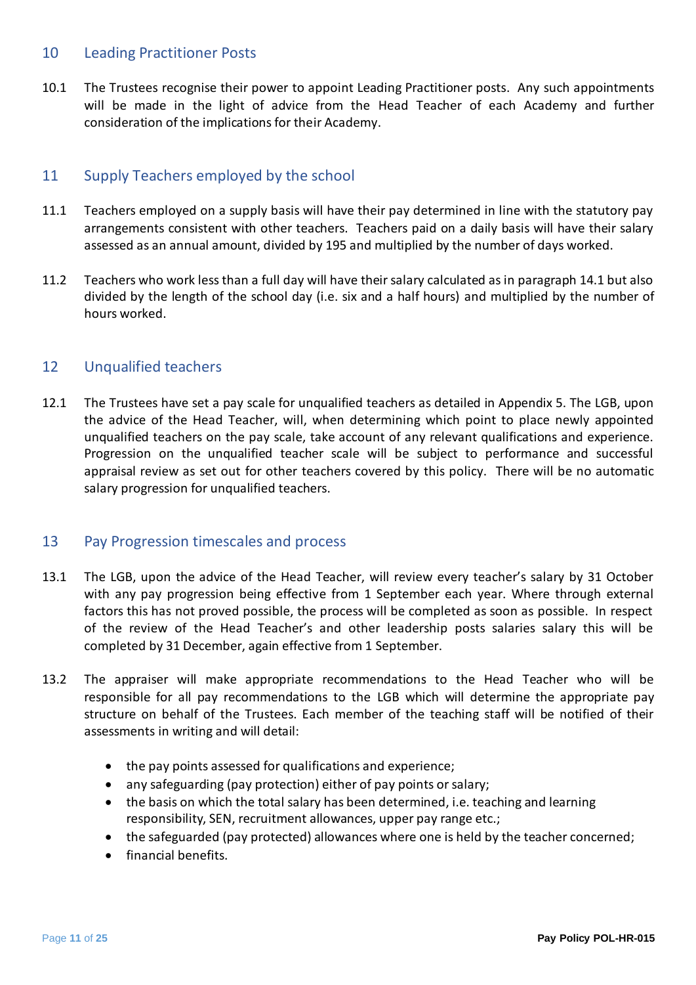#### <span id="page-10-0"></span>10 Leading Practitioner Posts

10.1 The Trustees recognise their power to appoint Leading Practitioner posts. Any such appointments will be made in the light of advice from the Head Teacher of each Academy and further consideration of the implications for their Academy.

#### <span id="page-10-1"></span>11 Supply Teachers employed by the school

- 11.1 Teachers employed on a supply basis will have their pay determined in line with the statutory pay arrangements consistent with other teachers. Teachers paid on a daily basis will have their salary assessed as an annual amount, divided by 195 and multiplied by the number of days worked.
- 11.2 Teachers who work less than a full day will have their salary calculated as in paragraph 14.1 but also divided by the length of the school day (i.e. six and a half hours) and multiplied by the number of hours worked.

#### <span id="page-10-2"></span>12 Unqualified teachers

12.1 The Trustees have set a pay scale for unqualified teachers as detailed in Appendix 5. The LGB, upon the advice of the Head Teacher, will, when determining which point to place newly appointed unqualified teachers on the pay scale, take account of any relevant qualifications and experience. Progression on the unqualified teacher scale will be subject to performance and successful appraisal review as set out for other teachers covered by this policy. There will be no automatic salary progression for unqualified teachers.

#### <span id="page-10-3"></span>13 Pay Progression timescales and process

- 13.1 The LGB, upon the advice of the Head Teacher, will review every teacher's salary by 31 October with any pay progression being effective from 1 September each year. Where through external factors this has not proved possible, the process will be completed as soon as possible. In respect of the review of the Head Teacher's and other leadership posts salaries salary this will be completed by 31 December, again effective from 1 September.
- 13.2 The appraiser will make appropriate recommendations to the Head Teacher who will be responsible for all pay recommendations to the LGB which will determine the appropriate pay structure on behalf of the Trustees. Each member of the teaching staff will be notified of their assessments in writing and will detail:
	- the pay points assessed for qualifications and experience;
	- any safeguarding (pay protection) either of pay points or salary;
	- the basis on which the total salary has been determined, i.e. teaching and learning responsibility, SEN, recruitment allowances, upper pay range etc.;
	- the safeguarded (pay protected) allowances where one is held by the teacher concerned;
	- financial benefits.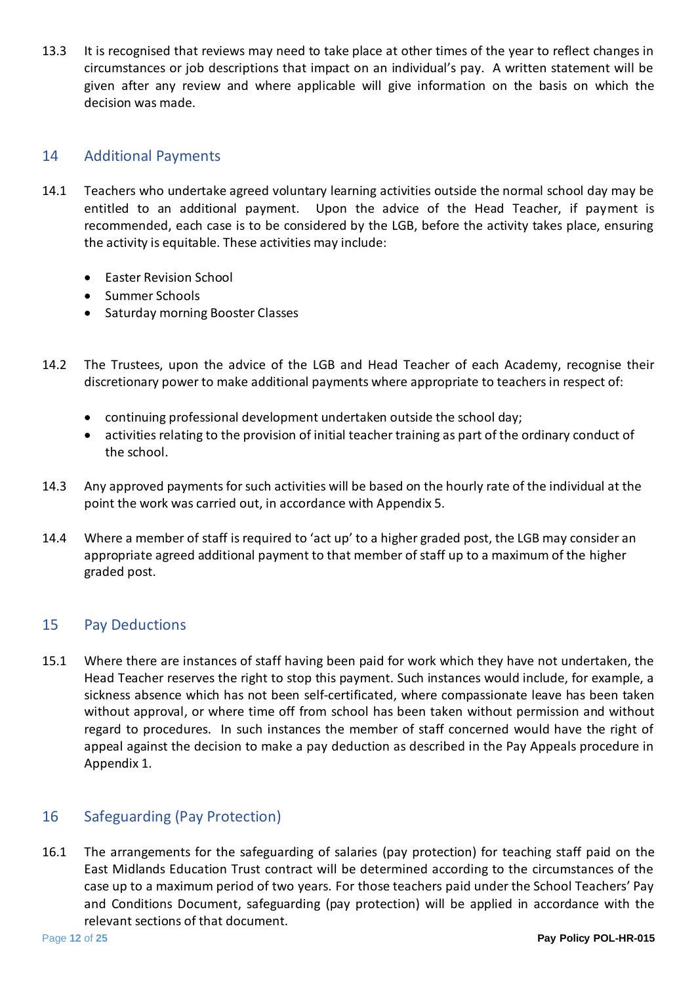13.3 It is recognised that reviews may need to take place at other times of the year to reflect changes in circumstances or job descriptions that impact on an individual's pay. A written statement will be given after any review and where applicable will give information on the basis on which the decision was made.

## <span id="page-11-0"></span>14 Additional Payments

- 14.1 Teachers who undertake agreed voluntary learning activities outside the normal school day may be entitled to an additional payment. Upon the advice of the Head Teacher, if payment is recommended, each case is to be considered by the LGB, before the activity takes place, ensuring the activity is equitable. These activities may include:
	- Easter Revision School
	- Summer Schools
	- Saturday morning Booster Classes
- 14.2 The Trustees, upon the advice of the LGB and Head Teacher of each Academy, recognise their discretionary power to make additional payments where appropriate to teachers in respect of:
	- continuing professional development undertaken outside the school day;
	- activities relating to the provision of initial teacher training as part of the ordinary conduct of the school.
- 14.3 Any approved payments for such activities will be based on the hourly rate of the individual at the point the work was carried out, in accordance with Appendix 5.
- 14.4 Where a member of staff is required to 'act up' to a higher graded post, the LGB may consider an appropriate agreed additional payment to that member of staff up to a maximum of the higher graded post.

#### <span id="page-11-1"></span>15 Pay Deductions

15.1 Where there are instances of staff having been paid for work which they have not undertaken, the Head Teacher reserves the right to stop this payment. Such instances would include, for example, a sickness absence which has not been self-certificated, where compassionate leave has been taken without approval, or where time off from school has been taken without permission and without regard to procedures. In such instances the member of staff concerned would have the right of appeal against the decision to make a pay deduction as described in the Pay Appeals procedure in Appendix 1.

#### <span id="page-11-2"></span>16 Safeguarding (Pay Protection)

16.1 The arrangements for the safeguarding of salaries (pay protection) for teaching staff paid on the East Midlands Education Trust contract will be determined according to the circumstances of the case up to a maximum period of two years. For those teachers paid under the School Teachers' Pay and Conditions Document, safeguarding (pay protection) will be applied in accordance with the relevant sections of that document.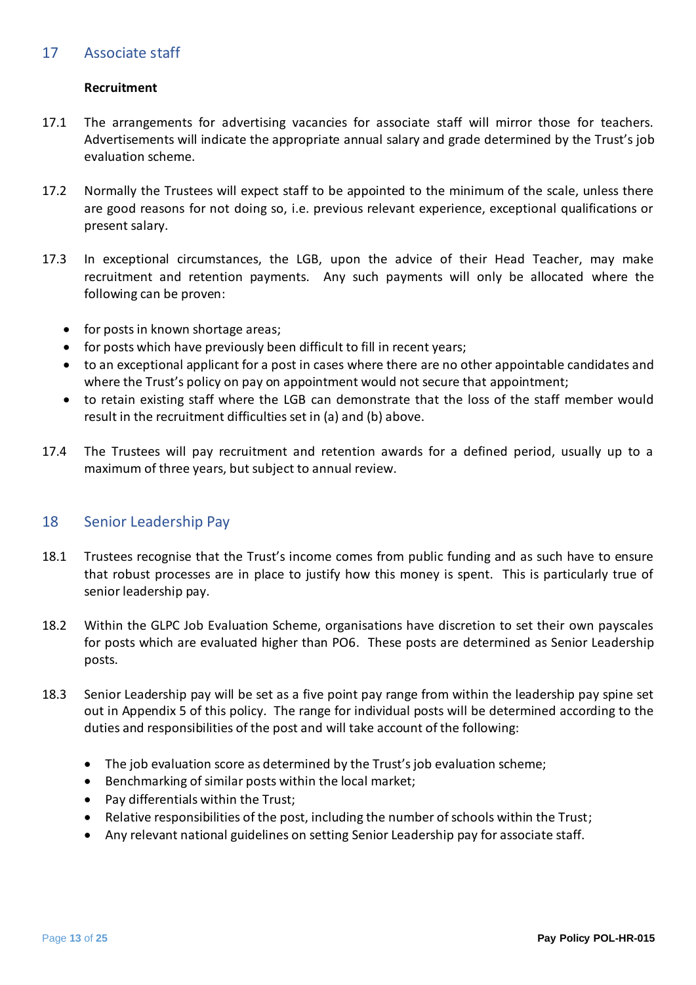#### <span id="page-12-0"></span>17 Associate staff

#### **Recruitment**

- 17.1 The arrangements for advertising vacancies for associate staff will mirror those for teachers. Advertisements will indicate the appropriate annual salary and grade determined by the Trust's job evaluation scheme.
- 17.2 Normally the Trustees will expect staff to be appointed to the minimum of the scale, unless there are good reasons for not doing so, i.e. previous relevant experience, exceptional qualifications or present salary.
- 17.3 In exceptional circumstances, the LGB, upon the advice of their Head Teacher, may make recruitment and retention payments. Any such payments will only be allocated where the following can be proven:
	- for posts in known shortage areas;
	- for posts which have previously been difficult to fill in recent years;
	- to an exceptional applicant for a post in cases where there are no other appointable candidates and where the Trust's policy on pay on appointment would not secure that appointment;
	- to retain existing staff where the LGB can demonstrate that the loss of the staff member would result in the recruitment difficulties set in (a) and (b) above.
- 17.4 The Trustees will pay recruitment and retention awards for a defined period, usually up to a maximum of three years, but subject to annual review.

#### <span id="page-12-1"></span>18 Senior Leadership Pay

- 18.1 Trustees recognise that the Trust's income comes from public funding and as such have to ensure that robust processes are in place to justify how this money is spent. This is particularly true of senior leadership pay.
- 18.2 Within the GLPC Job Evaluation Scheme, organisations have discretion to set their own payscales for posts which are evaluated higher than PO6. These posts are determined as Senior Leadership posts.
- 18.3 Senior Leadership pay will be set as a five point pay range from within the leadership pay spine set out in Appendix 5 of this policy. The range for individual posts will be determined according to the duties and responsibilities of the post and will take account of the following:
	- The job evaluation score as determined by the Trust's job evaluation scheme;
	- Benchmarking of similar posts within the local market;
	- Pay differentials within the Trust;
	- Relative responsibilities of the post, including the number of schools within the Trust;
	- Any relevant national guidelines on setting Senior Leadership pay for associate staff.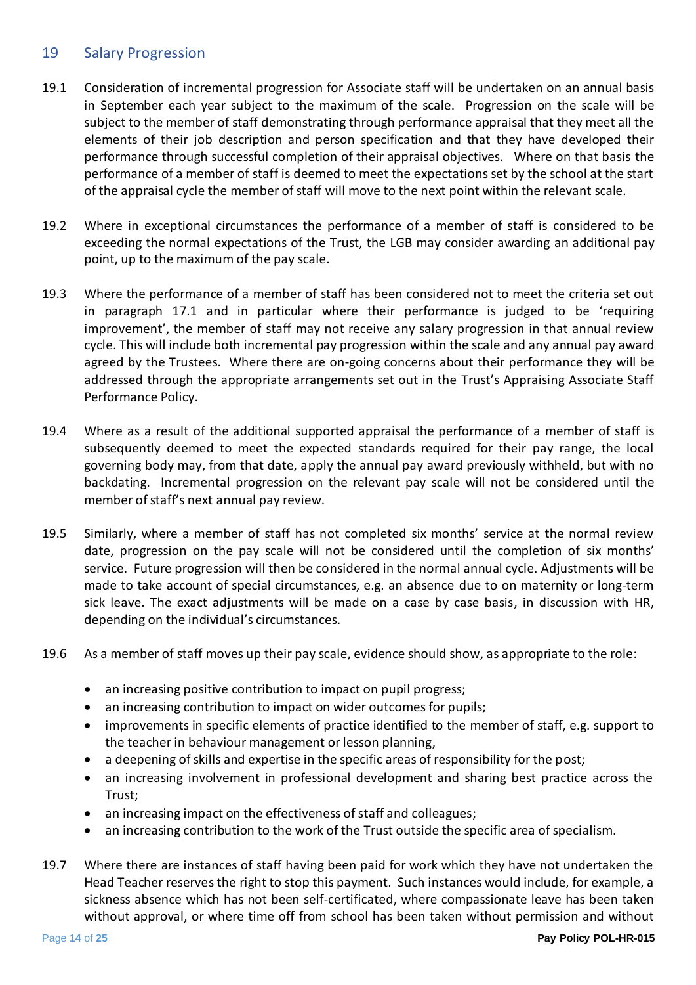#### <span id="page-13-0"></span>19 Salary Progression

- 19.1 Consideration of incremental progression for Associate staff will be undertaken on an annual basis in September each year subject to the maximum of the scale. Progression on the scale will be subject to the member of staff demonstrating through performance appraisal that they meet all the elements of their job description and person specification and that they have developed their performance through successful completion of their appraisal objectives. Where on that basis the performance of a member of staff is deemed to meet the expectations set by the school at the start of the appraisal cycle the member of staff will move to the next point within the relevant scale.
- 19.2 Where in exceptional circumstances the performance of a member of staff is considered to be exceeding the normal expectations of the Trust, the LGB may consider awarding an additional pay point, up to the maximum of the pay scale.
- 19.3 Where the performance of a member of staff has been considered not to meet the criteria set out in paragraph 17.1 and in particular where their performance is judged to be 'requiring improvement', the member of staff may not receive any salary progression in that annual review cycle. This will include both incremental pay progression within the scale and any annual pay award agreed by the Trustees. Where there are on-going concerns about their performance they will be addressed through the appropriate arrangements set out in the Trust's Appraising Associate Staff Performance Policy.
- 19.4 Where as a result of the additional supported appraisal the performance of a member of staff is subsequently deemed to meet the expected standards required for their pay range, the local governing body may, from that date, apply the annual pay award previously withheld, but with no backdating. Incremental progression on the relevant pay scale will not be considered until the member of staff's next annual pay review.
- 19.5 Similarly, where a member of staff has not completed six months' service at the normal review date, progression on the pay scale will not be considered until the completion of six months' service. Future progression will then be considered in the normal annual cycle. Adjustments will be made to take account of special circumstances, e.g. an absence due to on maternity or long-term sick leave. The exact adjustments will be made on a case by case basis, in discussion with HR, depending on the individual's circumstances.
- 19.6 As a member of staff moves up their pay scale, evidence should show, as appropriate to the role:
	- an increasing positive contribution to impact on pupil progress;
	- an increasing contribution to impact on wider outcomes for pupils;
	- improvements in specific elements of practice identified to the member of staff, e.g. support to the teacher in behaviour management or lesson planning,
	- a deepening of skills and expertise in the specific areas of responsibility for the post;
	- an increasing involvement in professional development and sharing best practice across the Trust;
	- an increasing impact on the effectiveness of staff and colleagues;
	- an increasing contribution to the work of the Trust outside the specific area of specialism.
- 19.7 Where there are instances of staff having been paid for work which they have not undertaken the Head Teacher reserves the right to stop this payment. Such instances would include, for example, a sickness absence which has not been self-certificated, where compassionate leave has been taken without approval, or where time off from school has been taken without permission and without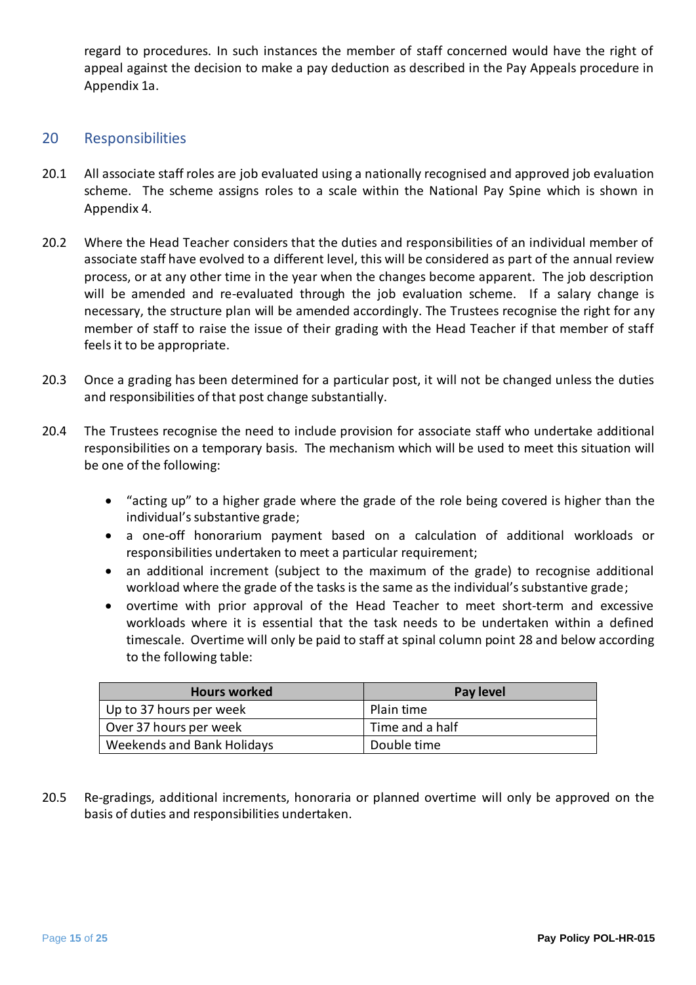regard to procedures. In such instances the member of staff concerned would have the right of appeal against the decision to make a pay deduction as described in the Pay Appeals procedure in Appendix 1a.

#### <span id="page-14-0"></span>20 Responsibilities

- 20.1 All associate staff roles are job evaluated using a nationally recognised and approved job evaluation scheme. The scheme assigns roles to a scale within the National Pay Spine which is shown in Appendix 4.
- 20.2 Where the Head Teacher considers that the duties and responsibilities of an individual member of associate staff have evolved to a different level, this will be considered as part of the annual review process, or at any other time in the year when the changes become apparent. The job description will be amended and re-evaluated through the job evaluation scheme. If a salary change is necessary, the structure plan will be amended accordingly. The Trustees recognise the right for any member of staff to raise the issue of their grading with the Head Teacher if that member of staff feels it to be appropriate.
- 20.3 Once a grading has been determined for a particular post, it will not be changed unless the duties and responsibilities of that post change substantially.
- 20.4 The Trustees recognise the need to include provision for associate staff who undertake additional responsibilities on a temporary basis. The mechanism which will be used to meet this situation will be one of the following:
	- "acting up" to a higher grade where the grade of the role being covered is higher than the individual's substantive grade;
	- a one-off honorarium payment based on a calculation of additional workloads or responsibilities undertaken to meet a particular requirement;
	- an additional increment (subject to the maximum of the grade) to recognise additional workload where the grade of the tasks is the same as the individual's substantive grade;
	- overtime with prior approval of the Head Teacher to meet short-term and excessive workloads where it is essential that the task needs to be undertaken within a defined timescale. Overtime will only be paid to staff at spinal column point 28 and below according to the following table:

| <b>Hours worked</b>        | Pay level       |
|----------------------------|-----------------|
| Up to 37 hours per week    | Plain time      |
| Over 37 hours per week     | Time and a half |
| Weekends and Bank Holidays | Double time     |

20.5 Re-gradings, additional increments, honoraria or planned overtime will only be approved on the basis of duties and responsibilities undertaken.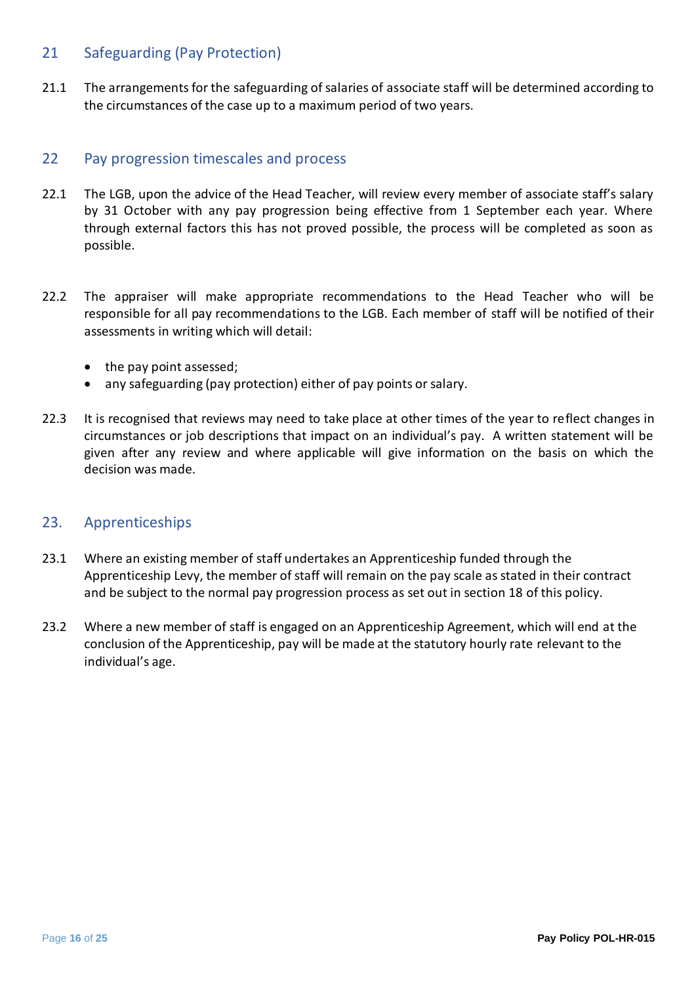#### <span id="page-15-0"></span>21 Safeguarding (Pay Protection)

21.1 The arrangements for the safeguarding of salaries of associate staff will be determined according to the circumstances of the case up to a maximum period of two years.

#### <span id="page-15-1"></span>22 Pay progression timescales and process

- 22.1 The LGB, upon the advice of the Head Teacher, will review every member of associate staff's salary by 31 October with any pay progression being effective from 1 September each year. Where through external factors this has not proved possible, the process will be completed as soon as possible.
- 22.2 The appraiser will make appropriate recommendations to the Head Teacher who will be responsible for all pay recommendations to the LGB. Each member of staff will be notified of their assessments in writing which will detail:
	- the pay point assessed;
	- any safeguarding (pay protection) either of pay points or salary.
- 22.3 It is recognised that reviews may need to take place at other times of the year to reflect changes in circumstances or job descriptions that impact on an individual's pay. A written statement will be given after any review and where applicable will give information on the basis on which the decision was made.

#### <span id="page-15-2"></span>23. Apprenticeships

- 23.1 Where an existing member of staff undertakes an Apprenticeship funded through the Apprenticeship Levy, the member of staff will remain on the pay scale as stated in their contract and be subject to the normal pay progression process as set out in section 18 of this policy.
- 23.2 Where a new member of staff is engaged on an Apprenticeship Agreement, which will end at the conclusion of the Apprenticeship, pay will be made at the statutory hourly rate relevant to the individual's age.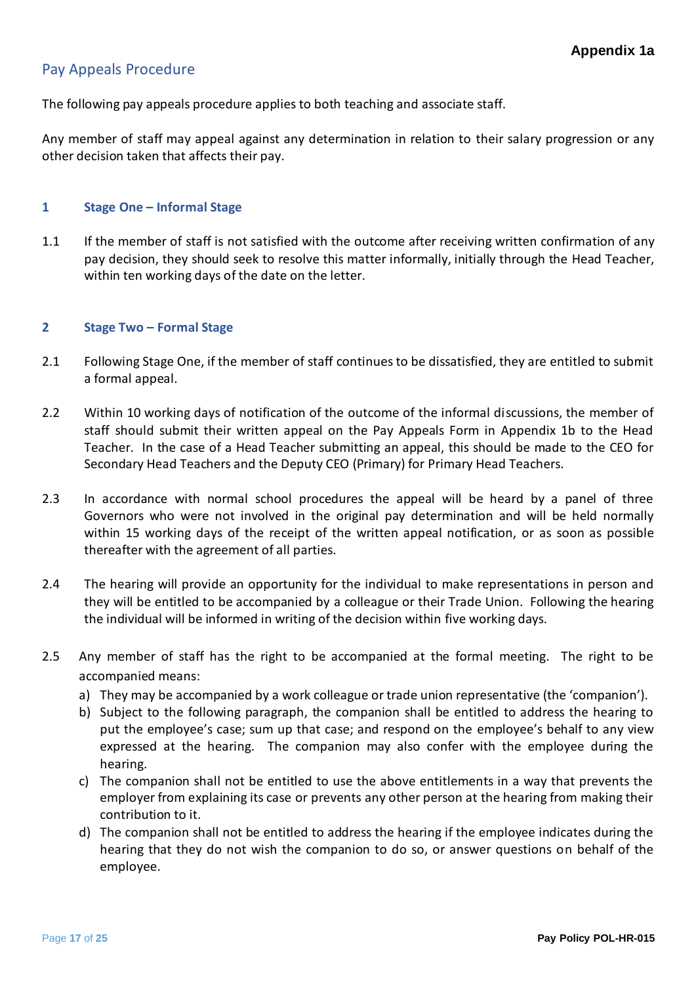## <span id="page-16-0"></span>Pay Appeals Procedure

The following pay appeals procedure applies to both teaching and associate staff.

Any member of staff may appeal against any determination in relation to their salary progression or any other decision taken that affects their pay.

#### **1 Stage One – Informal Stage**

1.1 If the member of staff is not satisfied with the outcome after receiving written confirmation of any pay decision, they should seek to resolve this matter informally, initially through the Head Teacher, within ten working days of the date on the letter.

#### **2 Stage Two – Formal Stage**

- 2.1 Following Stage One, if the member of staff continues to be dissatisfied, they are entitled to submit a formal appeal.
- 2.2 Within 10 working days of notification of the outcome of the informal discussions, the member of staff should submit their written appeal on the Pay Appeals Form in Appendix 1b to the Head Teacher. In the case of a Head Teacher submitting an appeal, this should be made to the CEO for Secondary Head Teachers and the Deputy CEO (Primary) for Primary Head Teachers.
- 2.3 In accordance with normal school procedures the appeal will be heard by a panel of three Governors who were not involved in the original pay determination and will be held normally within 15 working days of the receipt of the written appeal notification, or as soon as possible thereafter with the agreement of all parties.
- 2.4 The hearing will provide an opportunity for the individual to make representations in person and they will be entitled to be accompanied by a colleague or their Trade Union. Following the hearing the individual will be informed in writing of the decision within five working days.
- 2.5 Any member of staff has the right to be accompanied at the formal meeting. The right to be accompanied means:
	- a) They may be accompanied by a work colleague or trade union representative (the 'companion').
	- b) Subject to the following paragraph, the companion shall be entitled to address the hearing to put the employee's case; sum up that case; and respond on the employee's behalf to any view expressed at the hearing. The companion may also confer with the employee during the hearing.
	- c) The companion shall not be entitled to use the above entitlements in a way that prevents the employer from explaining its case or prevents any other person at the hearing from making their contribution to it.
	- d) The companion shall not be entitled to address the hearing if the employee indicates during the hearing that they do not wish the companion to do so, or answer questions on behalf of the employee.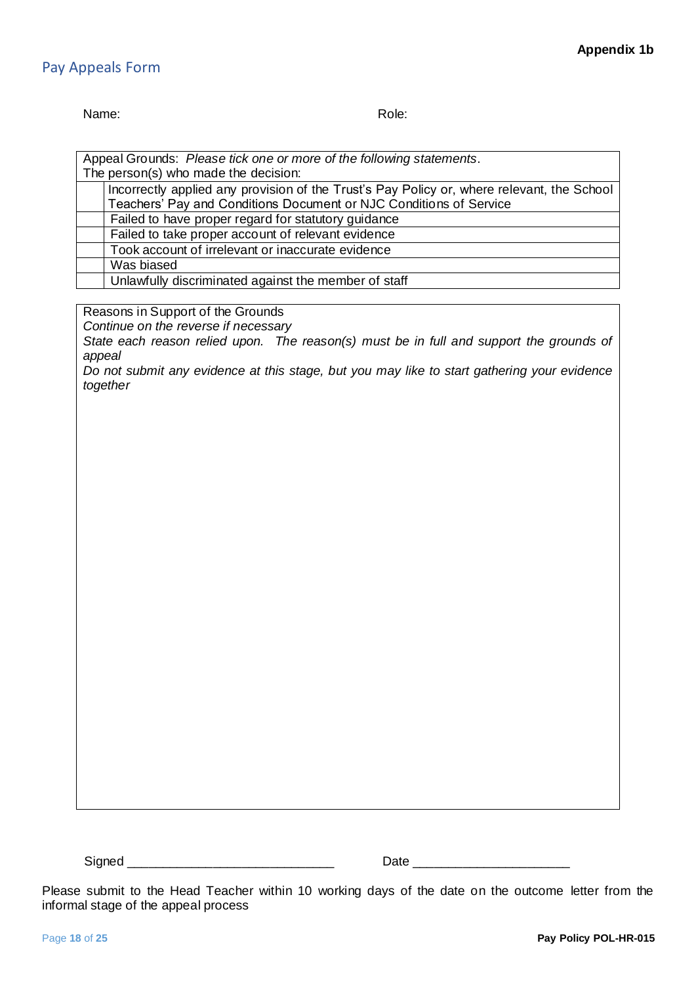#### <span id="page-17-0"></span>Pay Appeals Form

#### Name: Role: Role: Role: Role: Role: Role: Role: Role: Role: Role: Role: Role: Role: Role: Role: Role: Role: Role: Role: Role: Role: Role: Role: Role: Role: Role: Role: Role: Role: Role: Role: Role: Role: Role: Role: Role:

| Appeal Grounds: Please tick one or more of the following statements.                       |  |  |  |  |  |
|--------------------------------------------------------------------------------------------|--|--|--|--|--|
| The person(s) who made the decision:                                                       |  |  |  |  |  |
| Incorrectly applied any provision of the Trust's Pay Policy or, where relevant, the School |  |  |  |  |  |
| Teachers' Pay and Conditions Document or NJC Conditions of Service                         |  |  |  |  |  |
| Failed to have proper regard for statutory guidance                                        |  |  |  |  |  |
| Failed to take proper account of relevant evidence                                         |  |  |  |  |  |
| Took account of irrelevant or inaccurate evidence                                          |  |  |  |  |  |
| Was biased                                                                                 |  |  |  |  |  |
| Unlawfully discriminated against the member of staff                                       |  |  |  |  |  |
|                                                                                            |  |  |  |  |  |

Reasons in Support of the Grounds

*Continue on the reverse if necessary*

*State each reason relied upon. The reason(s) must be in full and support the grounds of appeal*

*Do not submit any evidence at this stage, but you may like to start gathering your evidence together*

Signed \_\_\_\_\_\_\_\_\_\_\_\_\_\_\_\_\_\_\_\_\_\_\_\_\_\_\_\_\_ Date \_\_\_\_\_\_\_\_\_\_\_\_\_\_\_\_\_\_\_\_\_\_

Please submit to the Head Teacher within 10 working days of the date on the outcome letter from the informal stage of the appeal process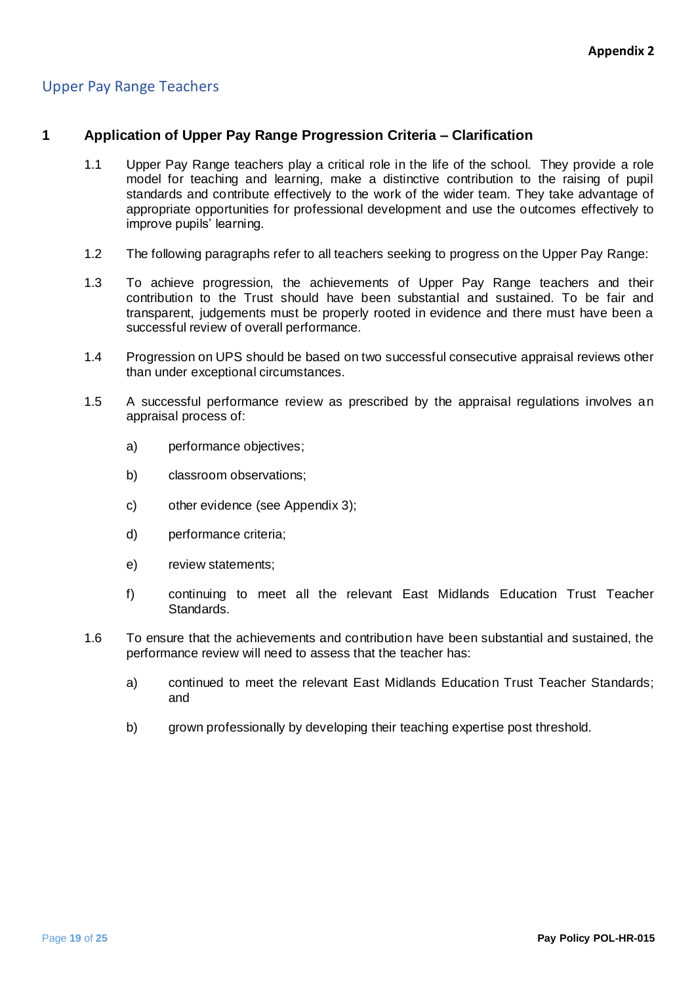# <span id="page-18-0"></span>Upper Pay Range Teachers

#### **1 Application of Upper Pay Range Progression Criteria – Clarification**

- 1.1 Upper Pay Range teachers play a critical role in the life of the school. They provide a role model for teaching and learning, make a distinctive contribution to the raising of pupil standards and contribute effectively to the work of the wider team. They take advantage of appropriate opportunities for professional development and use the outcomes effectively to improve pupils' learning.
- 1.2 The following paragraphs refer to all teachers seeking to progress on the Upper Pay Range:
- 1.3 To achieve progression, the achievements of Upper Pay Range teachers and their contribution to the Trust should have been substantial and sustained. To be fair and transparent, judgements must be properly rooted in evidence and there must have been a successful review of overall performance.
- 1.4 Progression on UPS should be based on two successful consecutive appraisal reviews other than under exceptional circumstances.
- 1.5 A successful performance review as prescribed by the appraisal regulations involves an appraisal process of:
	- a) performance objectives;
	- b) classroom observations;
	- c) other evidence (see Appendix 3);
	- d) performance criteria;
	- e) review statements;
	- f) continuing to meet all the relevant East Midlands Education Trust Teacher Standards.
- 1.6 To ensure that the achievements and contribution have been substantial and sustained, the performance review will need to assess that the teacher has:
	- a) continued to meet the relevant East Midlands Education Trust Teacher Standards; and
	- b) grown professionally by developing their teaching expertise post threshold.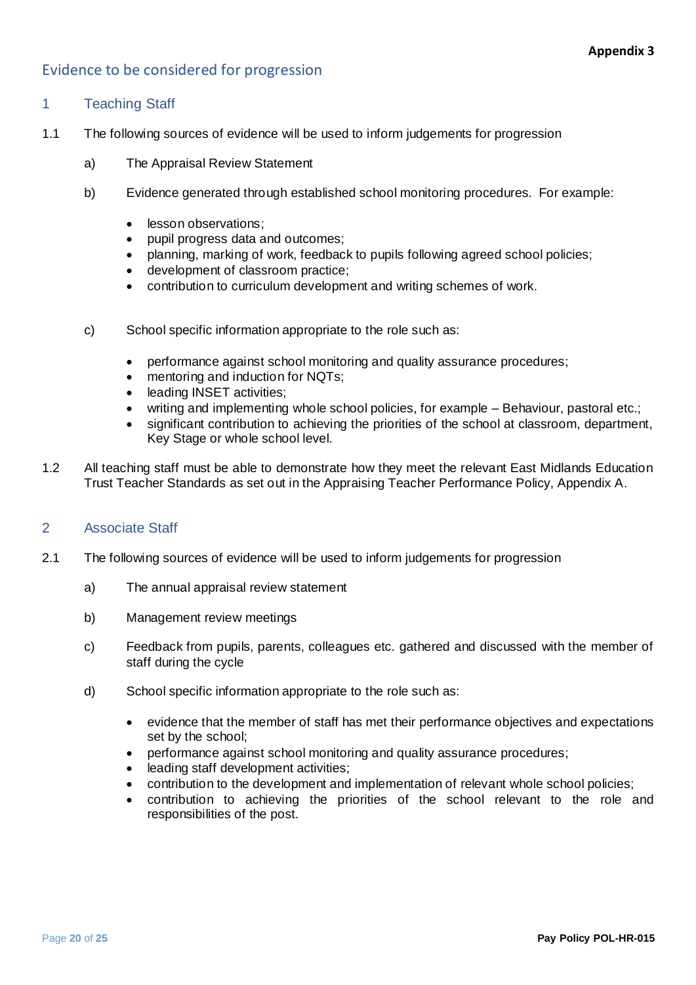## <span id="page-19-0"></span>Evidence to be considered for progression

#### 1 Teaching Staff

- 1.1 The following sources of evidence will be used to inform judgements for progression
	- a) The Appraisal Review Statement
	- b) Evidence generated through established school monitoring procedures. For example:
		- lesson observations:
		- pupil progress data and outcomes;
		- planning, marking of work, feedback to pupils following agreed school policies;
		- development of classroom practice;
		- contribution to curriculum development and writing schemes of work.
	- c) School specific information appropriate to the role such as:
		- performance against school monitoring and quality assurance procedures;
		- mentoring and induction for NQTs;
		- leading INSET activities:
		- writing and implementing whole school policies, for example Behaviour, pastoral etc.;
		- significant contribution to achieving the priorities of the school at classroom, department, Key Stage or whole school level.
- 1.2 All teaching staff must be able to demonstrate how they meet the relevant East Midlands Education Trust Teacher Standards as set out in the Appraising Teacher Performance Policy, Appendix A.

#### 2 Associate Staff

- 2.1 The following sources of evidence will be used to inform judgements for progression
	- a) The annual appraisal review statement
	- b) Management review meetings
	- c) Feedback from pupils, parents, colleagues etc. gathered and discussed with the member of staff during the cycle
	- d) School specific information appropriate to the role such as:
		- evidence that the member of staff has met their performance objectives and expectations set by the school;
		- performance against school monitoring and quality assurance procedures;
		- leading staff development activities;
		- contribution to the development and implementation of relevant whole school policies;
		- contribution to achieving the priorities of the school relevant to the role and responsibilities of the post.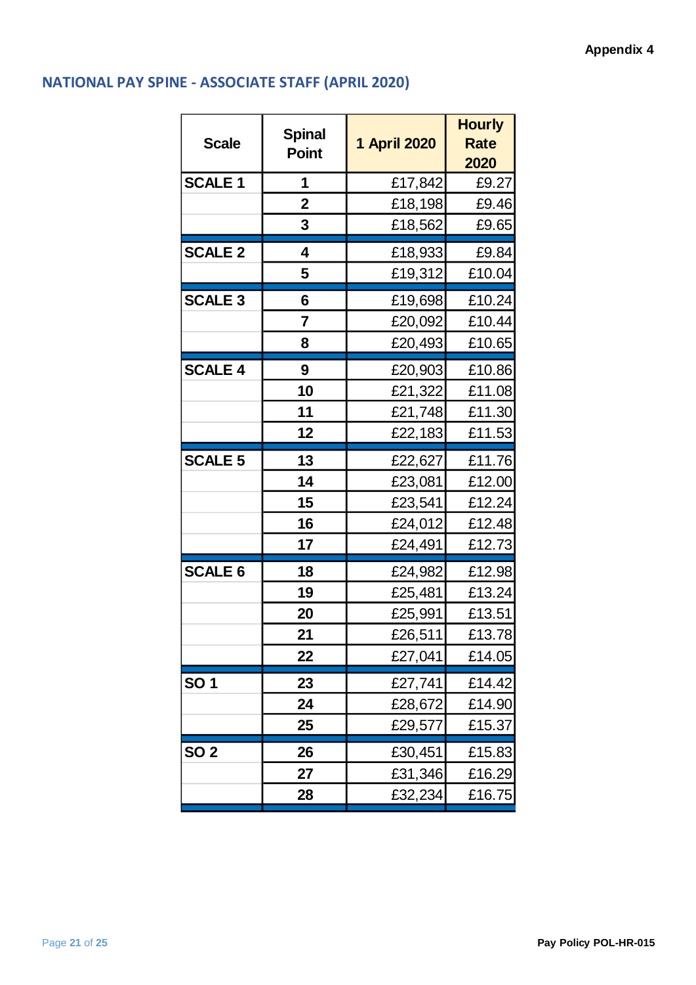# <span id="page-20-0"></span>**NATIONAL PAY SPINE - ASSOCIATE STAFF (APRIL 2020)**

| <b>Scale</b>   | <b>Spinal</b><br><b>Point</b> | 1 April 2020 | <b>Hourly</b><br><b>Rate</b><br>2020 |
|----------------|-------------------------------|--------------|--------------------------------------|
| <b>SCALE 1</b> | 1                             | £17,842      | £9.27                                |
|                | $\mathbf 2$                   | £18,198      | £9.46                                |
|                | 3                             | £18,562      | £9.65                                |
| <b>SCALE 2</b> | 4                             | £18,933      | £9.84                                |
|                | 5                             | £19,312      | £10.04                               |
| <b>SCALE 3</b> | 6                             | £19,698      | £10.24                               |
|                | 7                             | £20,092      | £10.44                               |
|                | 8                             | £20,493      | £10.65                               |
| <b>SCALE 4</b> | 9                             | £20,903      | £10.86                               |
|                | 10                            | £21,322      | £11.08                               |
|                | 11                            | £21,748      | £11.30                               |
|                | 12                            | £22,183      | £11.53                               |
| <b>SCALE 5</b> | 13                            | £22,627      | £11.76                               |
|                | 14                            | £23,081      | £12.00                               |
|                | 15                            | £23,541      | £12.24                               |
|                | 16                            | £24,012      | £12.48                               |
|                | 17                            | £24,491      | £12.73                               |
| <b>SCALE 6</b> | 18                            | £24,982      | £12.98                               |
|                | 19                            | £25,481      | £13.24                               |
|                | 20                            | £25,991      | £13.51                               |
|                | 21                            | £26,511      | £13.78                               |
|                | 22                            | £27,041      | £14.05                               |
| <b>SO1</b>     | 23                            | £27,741      | £14.42                               |
|                | 24                            | £28,672      | £14.90                               |
|                | 25                            | £29,577      | £15.37                               |
| <b>SO 2</b>    | 26                            | £30,451      | £15.83                               |
|                | 27                            | £31,346      | £16.29                               |
|                | 28                            | £32,234      | £16.75                               |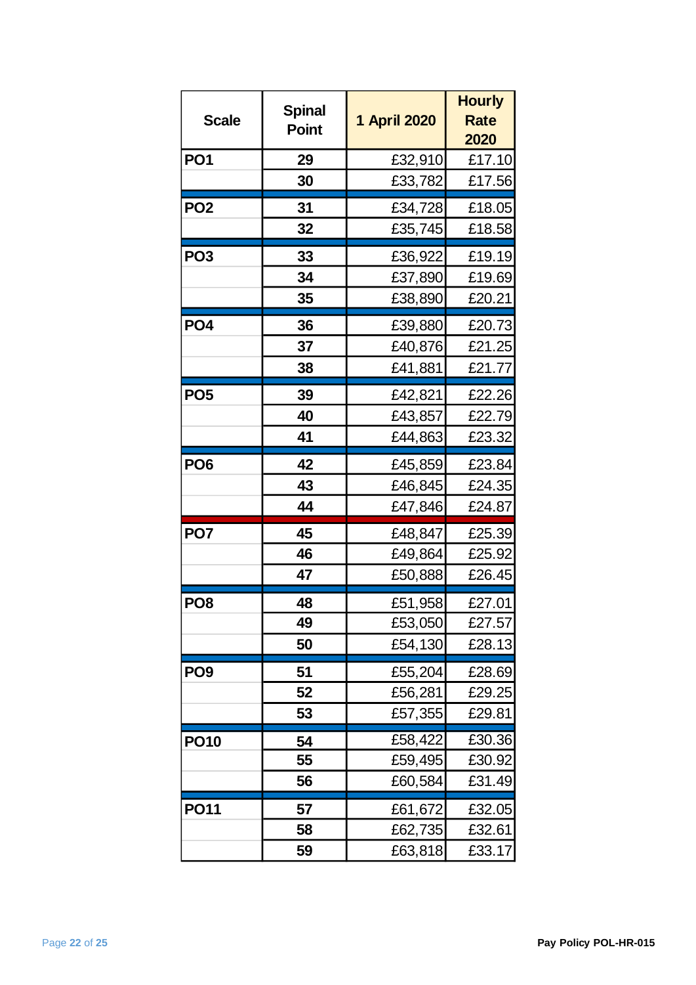| <b>Scale</b>    | <b>Spinal</b><br><b>Point</b> | 1 April 2020 | <b>Hourly</b><br><b>Rate</b><br>2020 |
|-----------------|-------------------------------|--------------|--------------------------------------|
| <b>PO1</b>      | 29                            | £32,910      | £17.10                               |
|                 | 30                            | £33,782      | £17.56                               |
| PO <sub>2</sub> | 31                            | £34,728      | £18.05                               |
|                 | 32                            | £35,745      | £18.58                               |
| PO <sub>3</sub> | 33                            | £36,922      | £19.19                               |
|                 | 34                            | £37,890      | £19.69                               |
|                 | 35                            | £38,890      | £20.21                               |
| PO <sub>4</sub> | 36                            | £39,880      | £20.73                               |
|                 | 37                            | £40,876      | £21.25                               |
|                 | 38                            | £41,881      | £21.77                               |
| PO <sub>5</sub> | 39                            | £42,821      | £22.26                               |
|                 | 40                            | £43,857      | £22.79                               |
|                 | 41                            | £44,863      | £23.32                               |
| PO <sub>6</sub> | 42                            | £45,859      | £23.84                               |
|                 | 43                            | £46,845      | £24.35                               |
|                 | 44                            | £47,846      | £24.87                               |
| PO <sub>7</sub> | 45                            | £48,847      | £25.39                               |
|                 | 46                            | £49,864      | £25.92                               |
|                 | 47                            | £50,888      | £26.45                               |
| PO <sub>8</sub> | 48                            | £51,958      | £27.01                               |
|                 | 49                            | £53,050      | £27.57                               |
|                 | 50                            | £54,130      | £28.13                               |
| PO <sub>9</sub> | 51                            | £55,204      | £28.69                               |
|                 | 52                            | £56,281      | £29.25                               |
|                 | 53                            | £57,355      | £29.81                               |
| <b>PO10</b>     | 54                            | £58,422      | £30.36                               |
|                 | 55                            | £59,495      | £30.92                               |
|                 | 56                            | £60,584      | £31.49                               |
| <b>PO11</b>     | 57                            | £61,672      | £32.05                               |
|                 | 58                            | £62,735      | £32.61                               |
|                 | 59                            | £63,818      | £33.17                               |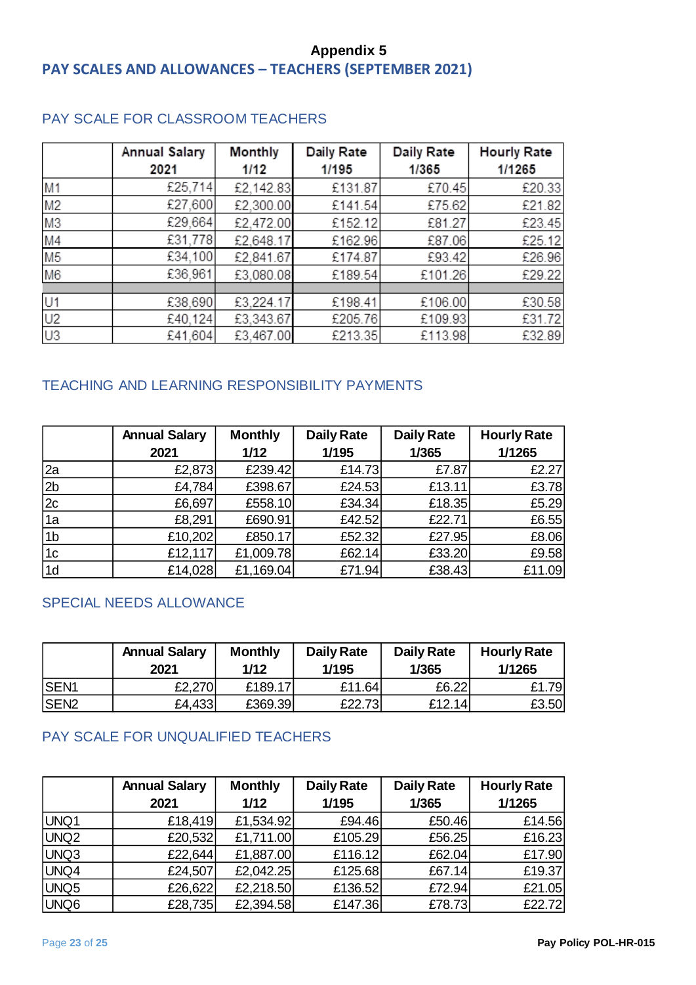# <span id="page-22-0"></span>**Appendix 5 PAY SCALES AND ALLOWANCES – TEACHERS (SEPTEMBER 2021)**

|                | <b>Annual Salary</b> | <b>Monthly</b> | Daily Rate | Daily Rate | <b>Hourly Rate</b> |
|----------------|----------------------|----------------|------------|------------|--------------------|
|                | 2021                 | 1/12           | 1/195      | 1/365      | 1/1265             |
| M <sub>1</sub> | £25,714              | £2,142.83      | £131.87    | £70.45     | £20.33             |
| M <sub>2</sub> | £27,600              | £2,300.00      | £141.54    | £75.62     | £21.82             |
| M <sub>3</sub> | £29,664              | £2,472.00      | £152.12    | £81.27     | £23.45             |
| M4             | £31,778              | £2,648.17      | £162.96    | £87.06     | £25.12             |
| M <sub>5</sub> | £34,100              | £2,841.67      | £174.87    | £93.42     | £26.96             |
| M <sub>6</sub> | £36,961              | £3,080.08      | £189.54    | £101.26    | £29.22             |
|                |                      |                |            |            |                    |
| U1             | £38,690              | £3,224.17      | £198.41    | £106.00    | £30.58             |
| U2             | £40,124              | £3,343.67      | £205.76    | £109.93    | £31.72             |
| U <sub>3</sub> | £41,604              | £3,467.00      | £213.35    | £113.98    | £32.89             |

## PAY SCALE FOR CLASSROOM TEACHERS

## TEACHING AND LEARNING RESPONSIBILITY PAYMENTS

|                | <b>Annual Salary</b> | <b>Monthly</b> | <b>Daily Rate</b> | <b>Daily Rate</b> | <b>Hourly Rate</b> |
|----------------|----------------------|----------------|-------------------|-------------------|--------------------|
|                | 2021                 | 1/12           | 1/195             | 1/365             | 1/1265             |
| 2a             | £2,873               | £239.42        | £14.73            | £7.87             | £2.27              |
| 2 <sub>b</sub> | £4,784               | £398.67        | £24.53            | £13.11            | £3.78              |
| 2c             | £6,697               | £558.10        | £34.34            | £18.35            | £5.29              |
| 1a             | £8,291               | £690.91        | £42.52            | £22.71            | £6.55              |
| 1 <sub>b</sub> | £10,202              | £850.17        | £52.32            | £27.95            | £8.06              |
| 1 <sub>c</sub> | £12,117              | £1,009.78      | £62.14            | £33.20            | £9.58              |
| 1d             | £14,028              | £1,169.04      | £71.94            | £38.43            | £11.09             |

## SPECIAL NEEDS ALLOWANCE

|              | <b>Annual Salary</b><br>2021 | <b>Monthly</b><br>1/12 | <b>Daily Rate</b><br>1/195 | <b>Daily Rate</b><br>1/365 | <b>Hourly Rate</b><br>1/1265 |
|--------------|------------------------------|------------------------|----------------------------|----------------------------|------------------------------|
| <b>ISEN1</b> | £2,270                       | £189.17                | £11.64                     | £6.22                      | £1.79                        |
| <b>ISEN2</b> | £4,433                       | £369.39                | £22.731                    | £12.14                     | £3.50                        |

### PAY SCALE FOR UNQUALIFIED TEACHERS

|                  | <b>Annual Salary</b> | <b>Monthly</b> | <b>Daily Rate</b> | <b>Daily Rate</b> | <b>Hourly Rate</b> |
|------------------|----------------------|----------------|-------------------|-------------------|--------------------|
|                  | 2021                 | $1/12$         | 1/195             | 1/365             | 1/1265             |
| UNQ1             | £18,419              | £1,534.92      | £94.46            | £50.46            | £14.56             |
| UNQ2             | £20,532              | £1,711.00      | £105.29           | £56.25            | £16.23             |
| UNQ3             | £22,644              | £1,887.00      | £116.12           | £62.04            | £17.90             |
| UNQ4             | £24,507              | £2,042.25      | £125.68           | £67.14            | £19.37             |
| UNQ <sub>5</sub> | £26,622              | £2,218.50      | £136.52           | £72.94            | £21.05             |
| UNQ <sub>6</sub> | £28,735              | £2,394.58      | £147.36           | £78.73            | £22.72             |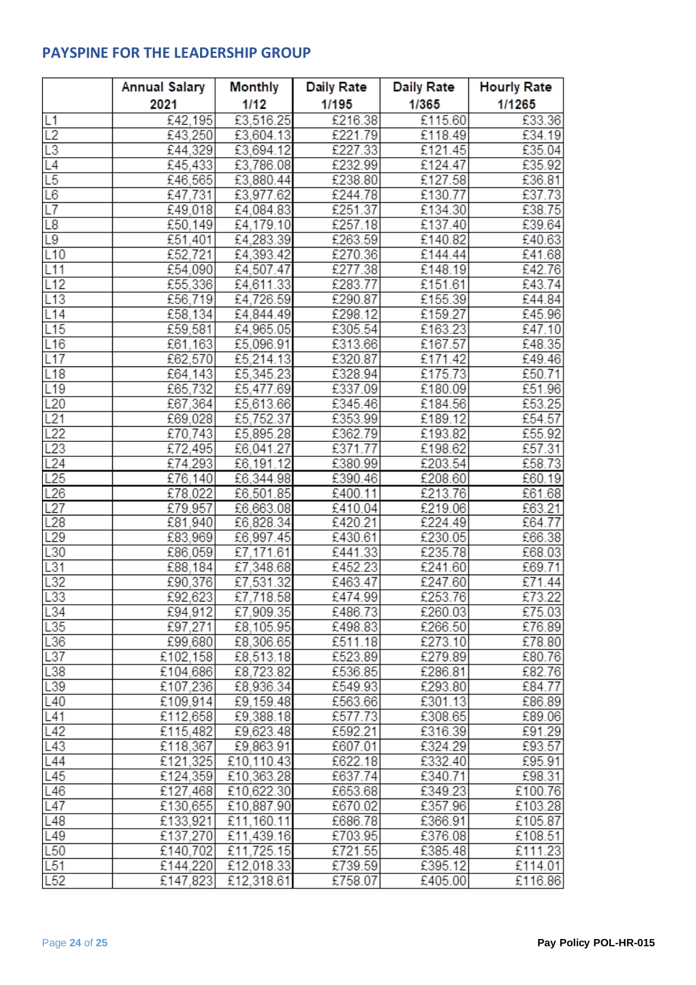# <span id="page-23-0"></span>**PAYSPINE FOR THE LEADERSHIP GROUP**

|                 | Annual Salary      | Monthly                | Daily Rate         | Daily Rate         | <b>Hourly Rate</b> |
|-----------------|--------------------|------------------------|--------------------|--------------------|--------------------|
|                 | 2021               | 1/12                   | 1/195              | 1/365              | 1/1265             |
| L1              | £42.195            | £3,516.25              | £216.38            | £115.60            | £33.36             |
| L2              | £43,250            | £3,604.13              | £221.79            | £118.49            | £34.19             |
| L <sub>3</sub>  | £44,329            | £3,694.12              | £227.33            | £121.45            | £35.04             |
| L4              | £45,433            | £3,786.08              | £232.99            | £124.47            | £35.92             |
| L5              | £46,565            | £3,880.44              | £238.80            | £127.58            | £36.81             |
| L <sub>6</sub>  | £47,731            | £3,977.62              | £244.78            | £130.77            | £37.73             |
| L7              | £49,018            | £4,084.83              | £251.37            | £134.30            | £38.75             |
| L <sub>8</sub>  | £50,149            | £4,179.10              | £257.18            | £137.40            | £39.64             |
| L <sub>9</sub>  | £51,401            | £4,283.39              | £263.59            | £140.82            | £40.63             |
| L10             | £52,721            | £4,393.42              | £270.36            | £144.44            | £41.68             |
| L11             | £54,090            | £4,507.47              | £277.38            | £148.19            | £42.76             |
| L12             | £55,336            | £4,611.33              | £283.77            | £151.61            | £43.74             |
| L13             | £56,719            | £4,726.59              | £290.87            | £155.39            | £44.84             |
| L14             | £58,134            | £4,844.49              | £298.12            | £159.27            | £45.96             |
| L15             | £59,581            | £4,965.05              | £305.54            | £163.23            | £47.10             |
| L16             | £61,163            | £5,096.91              | £313.66            | £167.57            | £48.35             |
| L17             | £62,570            | £5,214.13              | £320.87            | £171.42            | £49.46             |
| L18             | £64,143            | £5,345.23              | £328.94            | £175.73            | £50.71             |
| L19             | £65,732            | £5,477.69              | £337.09            | £180.09            | £51.96             |
| L20             | £67,364            | £5,613.66              | £345.46            | £184.56            | £53.25             |
| L21             | £69,028            | £5,752.37              | £353.99            | £189.12            | £54.57             |
| L22             | £70,743            | £5,895.28              | £362.79            | £193.82            | £55.92             |
| L23             | £72,495            | £6,041.27              | £371.77            | £198.62            | E57.31             |
| L24             | £74,293            | £6,191.12              | £380.99            | £203.54            | £58.73             |
| L25             | £76,140            | £6,344.98              | £390.46            | £208.60            | £60.19             |
| L26             | £78,022            | £6,501.85              | £400.11            | £213.76            | £61.68             |
| L27<br>L28      | £79,957<br>£81,940 | £6,663.08<br>£6,828.34 | £410.04<br>£420.21 | £219.06<br>£224.49 | £63.21<br>£64.77   |
| L29             | £83,969            | £6,997.45              | £430.61            | £230.05            | £66.38             |
| L30             | £86,059            | £7,171.61              | £441.33            | £235.78            | £68.03             |
| L31             | £88,184            | £7,348.68              | £452.23            | £241.60            | £69.71             |
| L32             | £90,376            | £7,531.32              | £463.47            | £247.60            | £71.44             |
| L33             | £92,623            | £7,718.58              | £474.99            | £253.76            | £73.22             |
| L34             | £94,912            | £7,909.35              | £486.73            | £260.03            | £75.03             |
| L35             | £97,271            | £8,105.95              | £498.83            | £266.50            | £76.89             |
| L36             | £99,680            | £8,306.65              | £511.18            | £273.10            | £78.80             |
| L37             | £102,158           | £8,513.18              | £523.89            | £279.89            | £80.76             |
| L38             | £104,686           | £8,723.82              | £536.85            | £286.81            | £82.76             |
| L39             | £107,236           | £8,936.34              | £549.93            | £293.80            | £84.77             |
| L40             | £109,914           | £9,159.48              | £563.66            | £301.13            | £86.89             |
| L41             | £112,658           | £9,388.18              | £577.73            | £308.65            | £89.06             |
| L42             | £115,482           | £9,623.48              | £592.21            | £316.39            | £91.29             |
| L43             | £118,367           | £9,863.91              | £607.01            | £324.29            | £93.57             |
| L44             | £121,325           | £10,110.43             | £622.18            | £332.40            | £95.91             |
| L45             | £124,359           | £10,363.28             | £637.74            | £340.71            | £98.31             |
| L46             | £127,468           | £10,622.30             | £653.68            | £349.23            | £100.76            |
| L47             | £130,655           | £10,887.90             | £670.02            | £357.96            | £103.28            |
| L48             | £133,921           | £11,160.11             | £686.78            | £366.91            | £105.87            |
| L49             | £137,270           | £11,439.16             | £703.95            | £376.08            | £108.51            |
| L <sub>50</sub> | £140,702           | £11,725.15             | £721.55            | £385.48            | £111.23            |
| L51             | £144,220           | £12,018.33             | £739.59            | £395.12            | £114.01            |
| L52             | £147,823           | £12,318.61             | £758.07            | £405.00            | £116.86            |